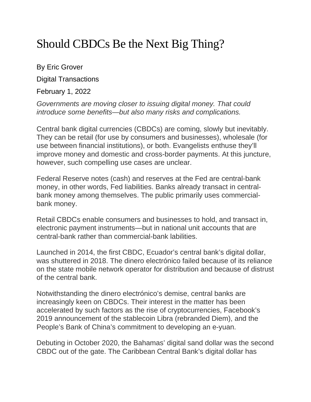# Should CBDCs Be the Next Big Thing?

By Eric Grover

Digital Transactions

February 1, 2022

*Governments are moving closer to issuing digital money. That could introduce some benefits—but also many risks and complications.*

Central bank digital currencies (CBDCs) are coming, slowly but inevitably. They can be retail (for use by consumers and businesses), wholesale (for use between financial institutions), or both. Evangelists enthuse they'll improve money and domestic and cross-border payments. At this juncture, however, such compelling use cases are unclear.

Federal Reserve notes (cash) and reserves at the Fed are central-bank money, in other words, Fed liabilities. Banks already transact in centralbank money among themselves. The public primarily uses commercialbank money.

Retail CBDCs enable consumers and businesses to hold, and transact in, electronic payment instruments—but in national unit accounts that are central-bank rather than commercial-bank labilities.

Launched in 2014, the first CBDC, Ecuador's central bank's digital dollar, was shuttered in 2018. The dinero electrónico failed because of its reliance on the state mobile network operator for distribution and because of distrust of the central bank.

Notwithstanding the dinero electrónico's demise, central banks are increasingly keen on CBDCs. Their interest in the matter has been accelerated by such factors as the rise of cryptocurrencies, Facebook's 2019 announcement of the stablecoin Libra (rebranded Diem), and the People's Bank of China's commitment to developing an e-yuan.

Debuting in October 2020, the Bahamas' digital sand dollar was the second CBDC out of the gate. The Caribbean Central Bank's digital dollar has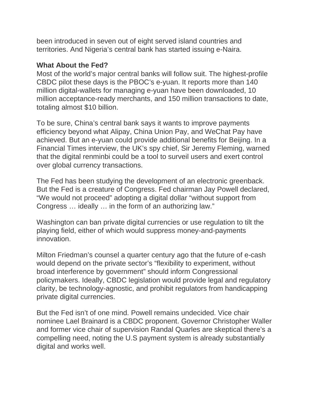been introduced in seven out of eight served island countries and territories. And Nigeria's central bank has started issuing e-Naira.

#### **What About the Fed?**

Most of the world's major central banks will follow suit. The highest-profile CBDC pilot these days is the PBOC's e-yuan. It reports more than 140 million digital-wallets for managing e-yuan have been downloaded, 10 million acceptance-ready merchants, and 150 million transactions to date, totaling almost \$10 billion.

To be sure, China's central bank says it wants to improve payments efficiency beyond what Alipay, China Union Pay, and WeChat Pay have achieved. But an e-yuan could provide additional benefits for Beijing. In a Financial Times interview, the UK's spy chief, Sir Jeremy Fleming, warned that the digital renminbi could be a tool to surveil users and exert control over global currency transactions.

The Fed has been studying the development of an electronic greenback. But the Fed is a creature of Congress. Fed chairman Jay Powell declared, "We would not proceed" adopting a digital dollar "without support from Congress … ideally … in the form of an authorizing law."

Washington can ban private digital currencies or use regulation to tilt the playing field, either of which would suppress money-and-payments innovation.

Milton Friedman's counsel a quarter century ago that the future of e-cash would depend on the private sector's "flexibility to experiment, without broad interference by government" should inform Congressional policymakers. Ideally, CBDC legislation would provide legal and regulatory clarity, be technology-agnostic, and prohibit regulators from handicapping private digital currencies.

But the Fed isn't of one mind. Powell remains undecided. Vice chair nominee Lael Brainard is a CBDC proponent. Governor Christopher Waller and former vice chair of supervision Randal Quarles are skeptical there's a compelling need, noting the U.S payment system is already substantially digital and works well.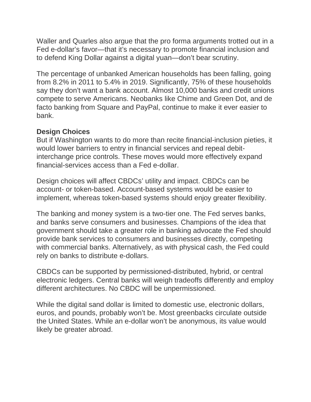Waller and Quarles also argue that the pro forma arguments trotted out in a Fed e-dollar's favor—that it's necessary to promote financial inclusion and to defend King Dollar against a digital yuan—don't bear scrutiny.

The percentage of unbanked American households has been falling, going from 8.2% in 2011 to 5.4% in 2019. Significantly, 75% of these households say they don't want a bank account. Almost 10,000 banks and credit unions compete to serve Americans. Neobanks like Chime and Green Dot, and de facto banking from Square and PayPal, continue to make it ever easier to bank.

# **Design Choices**

But if Washington wants to do more than recite financial-inclusion pieties, it would lower barriers to entry in financial services and repeal debitinterchange price controls. These moves would more effectively expand financial-services access than a Fed e-dollar.

Design choices will affect CBDCs' utility and impact. CBDCs can be account- or token-based. Account-based systems would be easier to implement, whereas token-based systems should enjoy greater flexibility.

The banking and money system is a two-tier one. The Fed serves banks, and banks serve consumers and businesses. Champions of the idea that government should take a greater role in banking advocate the Fed should provide bank services to consumers and businesses directly, competing with commercial banks. Alternatively, as with physical cash, the Fed could rely on banks to distribute e-dollars.

CBDCs can be supported by permissioned-distributed, hybrid, or central electronic ledgers. Central banks will weigh tradeoffs differently and employ different architectures. No CBDC will be unpermissioned.

While the digital sand dollar is limited to domestic use, electronic dollars, euros, and pounds, probably won't be. Most greenbacks circulate outside the United States. While an e-dollar won't be anonymous, its value would likely be greater abroad.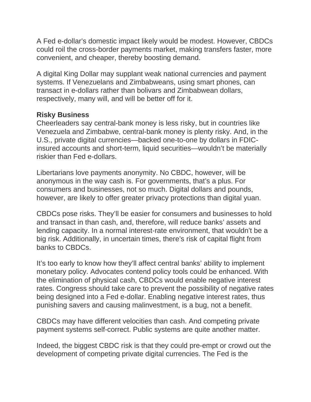A Fed e-dollar's domestic impact likely would be modest. However, CBDCs could roil the cross-border payments market, making transfers faster, more convenient, and cheaper, thereby boosting demand.

A digital King Dollar may supplant weak national currencies and payment systems. If Venezuelans and Zimbabweans, using smart phones, can transact in e-dollars rather than bolivars and Zimbabwean dollars, respectively, many will, and will be better off for it.

## **Risky Business**

Cheerleaders say central-bank money is less risky, but in countries like Venezuela and Zimbabwe, central-bank money is plenty risky. And, in the U.S., private digital currencies—backed one-to-one by dollars in FDICinsured accounts and short-term, liquid securities—wouldn't be materially riskier than Fed e-dollars.

Libertarians love payments anonymity. No CBDC, however, will be anonymous in the way cash is. For governments, that's a plus. For consumers and businesses, not so much. Digital dollars and pounds, however, are likely to offer greater privacy protections than digital yuan.

CBDCs pose risks. They'll be easier for consumers and businesses to hold and transact in than cash, and, therefore, will reduce banks' assets and lending capacity. In a normal interest-rate environment, that wouldn't be a big risk. Additionally, in uncertain times, there's risk of capital flight from banks to CBDCs.

It's too early to know how they'll affect central banks' ability to implement monetary policy. Advocates contend policy tools could be enhanced. With the elimination of physical cash, CBDCs would enable negative interest rates. Congress should take care to prevent the possibility of negative rates being designed into a Fed e-dollar. Enabling negative interest rates, thus punishing savers and causing malinvestment, is a bug, not a benefit.

CBDCs may have different velocities than cash. And competing private payment systems self-correct. Public systems are quite another matter.

Indeed, the biggest CBDC risk is that they could pre-empt or crowd out the development of competing private digital currencies. The Fed is the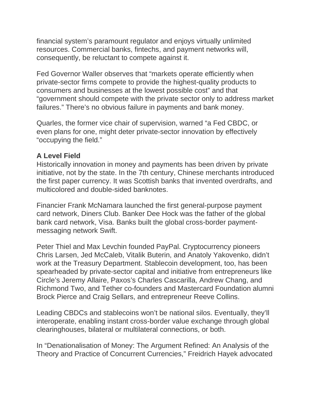financial system's paramount regulator and enjoys virtually unlimited resources. Commercial banks, fintechs, and payment networks will, consequently, be reluctant to compete against it.

Fed Governor Waller observes that "markets operate efficiently when private-sector firms compete to provide the highest-quality products to consumers and businesses at the lowest possible cost" and that "government should compete with the private sector only to address market failures." There's no obvious failure in payments and bank money.

Quarles, the former vice chair of supervision, warned "a Fed CBDC, or even plans for one, might deter private-sector innovation by effectively "occupying the field."

## **A Level Field**

Historically innovation in money and payments has been driven by private initiative, not by the state. In the 7th century, Chinese merchants introduced the first paper currency. It was Scottish banks that invented overdrafts, and multicolored and double-sided banknotes.

Financier Frank McNamara launched the first general-purpose payment card network, Diners Club. Banker Dee Hock was the father of the global bank card network, Visa. Banks built the global cross-border paymentmessaging network Swift.

Peter Thiel and Max Levchin founded PayPal. Cryptocurrency pioneers Chris Larsen, Jed McCaleb, Vitalik Buterin, and Anatoly Yakovenko, didn't work at the Treasury Department. Stablecoin development, too, has been spearheaded by private-sector capital and initiative from entrepreneurs like Circle's Jeremy Allaire, Paxos's Charles Cascarilla, Andrew Chang, and Richmond Two, and Tether co-founders and Mastercard Foundation alumni Brock Pierce and Craig Sellars, and entrepreneur Reeve Collins.

Leading CBDCs and stablecoins won't be national silos. Eventually, they'll interoperate, enabling instant cross-border value exchange through global clearinghouses, bilateral or multilateral connections, or both.

In "Denationalisation of Money: The Argument Refined: An Analysis of the Theory and Practice of Concurrent Currencies," Freidrich Hayek advocated